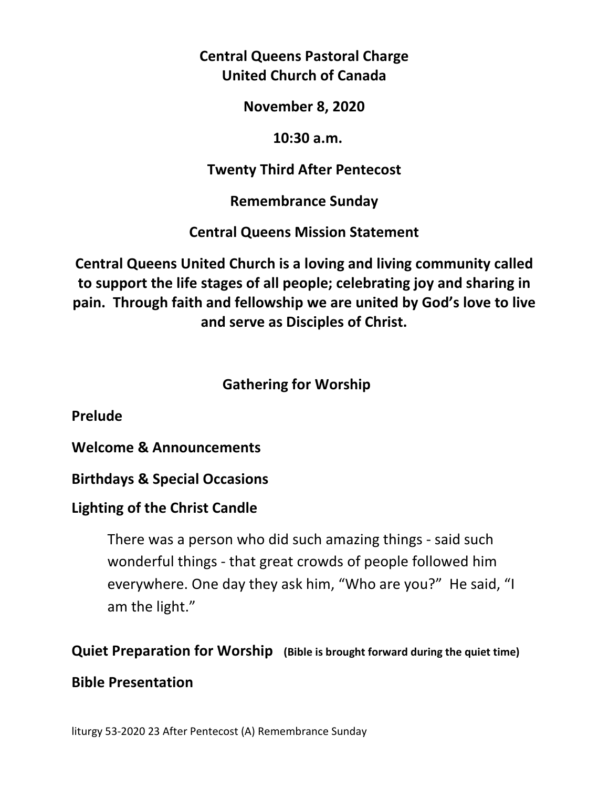**Central Queens Pastoral Charge United Church of Canada** 

**November 8, 2020** 

 **10:30 a.m.** 

**Twenty Third After Pentecost** 

**Remembrance Sunday** 

**Central Queens Mission Statement** 

**Central Queens United Church is a loving and living community called to support the life stages of all people; celebrating joy and sharing in pain. Through faith and fellowship we are united by God's love to live and serve as Disciples of Christ.**

## **Gathering for Worship**

**Prelude** 

**Welcome & Announcements** 

**Birthdays & Special Occasions** 

**Lighting of the Christ Candle** 

There was a person who did such amazing things - said such wonderful things - that great crowds of people followed him everywhere. One day they ask him, "Who are you?" He said, "I am the light."

**Quiet Preparation for Worship (Bible is brought forward during the quiet time)** 

## **Bible Presentation**

liturgy 53-2020 23 After Pentecost (A) Remembrance Sunday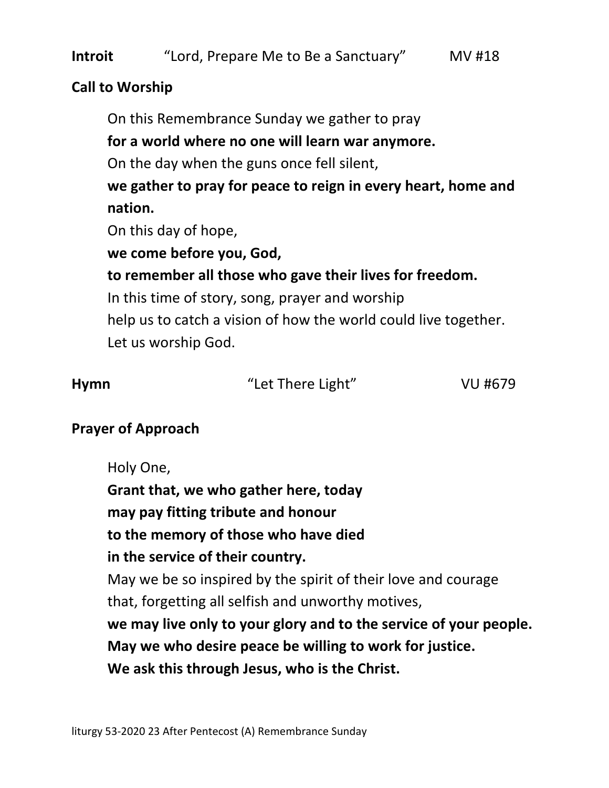#### **Call to Worship**

On this Remembrance Sunday we gather to pray **for a world where no one will learn war anymore.**  On the day when the guns once fell silent, **we gather to pray for peace to reign in every heart, home and nation.**  On this day of hope, **we come before you, God, to remember all those who gave their lives for freedom.**  In this time of story, song, prayer and worship help us to catch a vision of how the world could live together. Let us worship God.

| <b>Hymn</b> | "Let There Light" | VU #679 |
|-------------|-------------------|---------|

## **Prayer of Approach**

Holy One,  **Grant that, we who gather here, today may pay fitting tribute and honour to the memory of those who have died in the service of their country.**  May we be so inspired by the spirit of their love and courage that, forgetting all selfish and unworthy motives,  **we may live only to your glory and to the service of your people. May we who desire peace be willing to work for justice. We ask this through Jesus, who is the Christ.**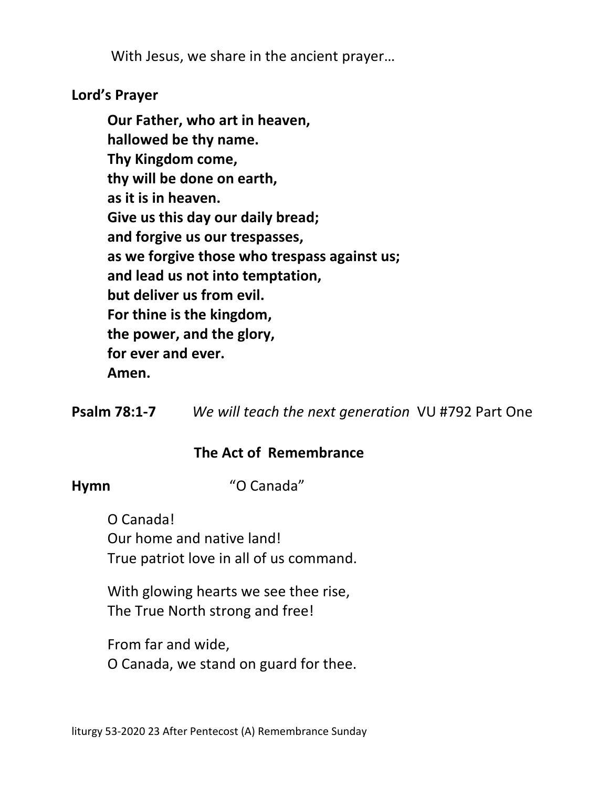With Jesus, we share in the ancient prayer…

## **Lord's Prayer**

**Our Father, who art in heaven, hallowed be thy name. Thy Kingdom come, thy will be done on earth, as it is in heaven. Give us this day our daily bread; and forgive us our trespasses, as we forgive those who trespass against us; and lead us not into temptation, but deliver us from evil. For thine is the kingdom, the power, and the glory, for ever and ever. Amen.** 

**Psalm 78:1-7** *We will teach the next generation*VU #792 Part One

## **The Act of Remembrance**

**Hymn** "O Canada"

O Canada! Our home and native land! True patriot love in all of us command.

With glowing hearts we see thee rise, The True North strong and free!

From far and wide, O Canada, we stand on guard for thee.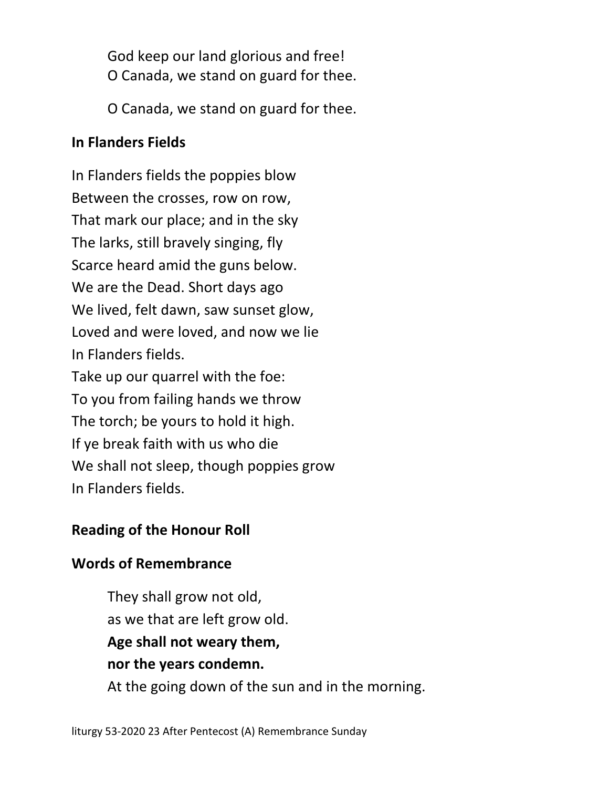God keep our land glorious and free! O Canada, we stand on guard for thee.

O Canada, we stand on guard for thee.

## **In Flanders Fields**

In Flanders fields the poppies blow Between the crosses, row on row, That mark our place; and in the sky The larks, still bravely singing, fly Scarce heard amid the guns below. We are the Dead. Short days ago We lived, felt dawn, saw sunset glow, Loved and were loved, and now we lie In Flanders fields. Take up our quarrel with the foe: To you from failing hands we throw The torch; be yours to hold it high. If ye break faith with us who die We shall not sleep, though poppies grow In Flanders fields.

## **Reading of the Honour Roll**

## **Words of Remembrance**

 They shall grow not old, as we that are left grow old.  **Age shall not weary them, nor the years condemn.**  At the going down of the sun and in the morning.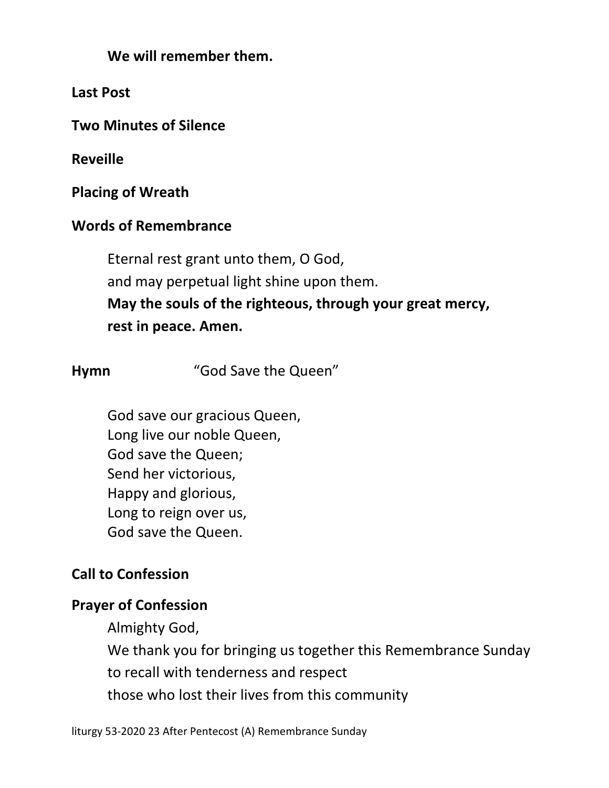**We will remember them.** 

**Last Post**

**Two Minutes of Silence** 

**Reveille** 

**Placing of Wreath**

## **Words of Remembrance**

 Eternal rest grant unto them, O God, and may perpetual light shine upon them.  **May the souls of the righteous, through your great mercy, rest in peace. Amen.** 

**Hymn** "God Save the Queen"

God save our gracious Queen, Long live our noble Queen, God save the Queen; Send her victorious, Happy and glorious, Long to reign over us, God save the Queen.

## **Call to Confession**

## **Prayer of Confession**

Almighty God,

We thank you for bringing us together this Remembrance Sunday

to recall with tenderness and respect

those who lost their lives from this community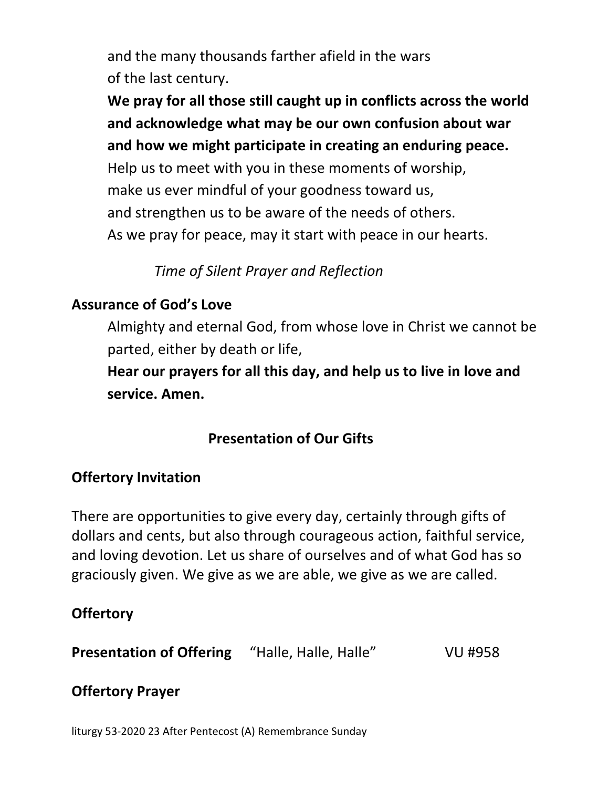and the many thousands farther afield in the wars of the last century.

 **We pray for all those still caught up in conflicts across the world and acknowledge what may be our own confusion about war and how we might participate in creating an enduring peace.** 

 Help us to meet with you in these moments of worship, make us ever mindful of your goodness toward us, and strengthen us to be aware of the needs of others. As we pray for peace, may it start with peace in our hearts.

# *Time of Silent Prayer and Reflection*

# **Assurance of God's Love**

 Almighty and eternal God, from whose love in Christ we cannot be parted, either by death or life,

**Hear our prayers for all this day, and help us to live in love and service. Amen.** 

# **Presentation of Our Gifts**

## **Offertory Invitation**

There are opportunities to give every day, certainly through gifts of dollars and cents, but also through courageous action, faithful service, and loving devotion. Let us share of ourselves and of what God has so graciously given. We give as we are able, we give as we are called.

# **Offertory**

**Presentation of Offering** "Halle, Halle, Halle" VU #958

# **Offertory Prayer**

liturgy 53-2020 23 After Pentecost (A) Remembrance Sunday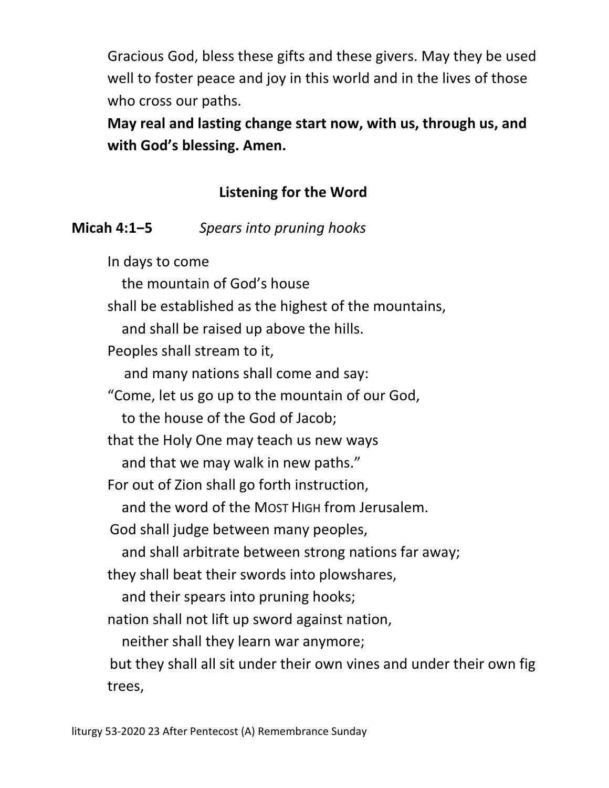Gracious God, bless these gifts and these givers. May they be used well to foster peace and joy in this world and in the lives of those who cross our paths.

**May real and lasting change start now, with us, through us, and with God's blessing. Amen.** 

# **Listening for the Word**

## **Micah 4:1‒5** *Spears into pruning hooks*

In days to come the mountain of God's house shall be established as the highest of the mountains, and shall be raised up above the hills. Peoples shall stream to it, and many nations shall come and say: "Come, let us go up to the mountain of our God, to the house of the God of Jacob; that the Holy One may teach us new ways and that we may walk in new paths." For out of Zion shall go forth instruction, and the word of the MOST HIGH from Jerusalem. God shall judge between many peoples, and shall arbitrate between strong nations far away; they shall beat their swords into plowshares, and their spears into pruning hooks; nation shall not lift up sword against nation, neither shall they learn war anymore; but they shall all sit under their own vines and under their own fig trees,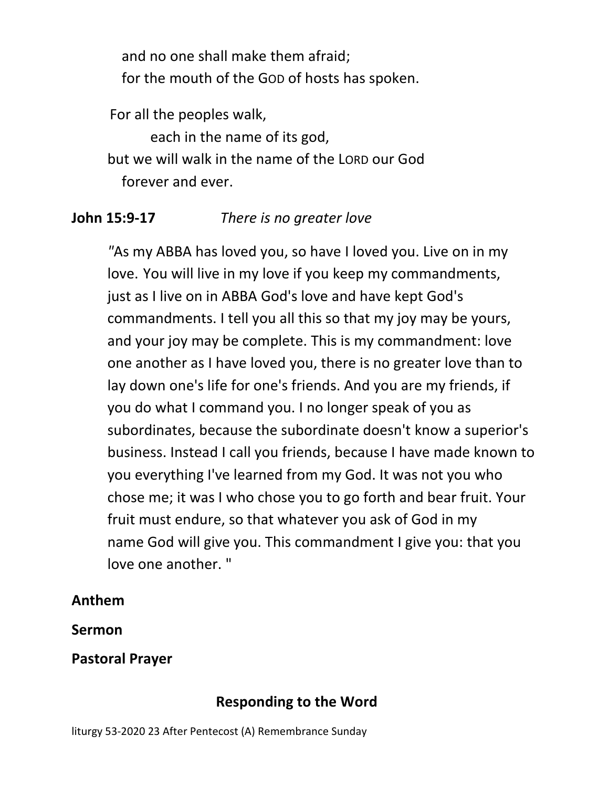and no one shall make them afraid; for the mouth of the GOD of hosts has spoken.

For all the peoples walk,

 each in the name of its god, but we will walk in the name of the LORD our God forever and ever.

## **John 15:9-17** *There is no greater love*

 *"*As my ABBA has loved you, so have I loved you. Live on in my love. You will live in my love if you keep my commandments, just as I live on in ABBA God's love and have kept God's commandments. I tell you all this so that my joy may be yours, and your joy may be complete. This is my commandment: love one another as I have loved you, there is no greater love than to lay down one's life for one's friends. And you are my friends, if you do what I command you. I no longer speak of you as subordinates, because the subordinate doesn't know a superior's business. Instead I call you friends, because I have made known to you everything I've learned from my God. It was not you who chose me; it was I who chose you to go forth and bear fruit. Your fruit must endure, so that whatever you ask of God in my name God will give you. This commandment I give you: that you love one another. "

## **Anthem**

**Sermon** 

**Pastoral Prayer** 

# **Responding to the Word**